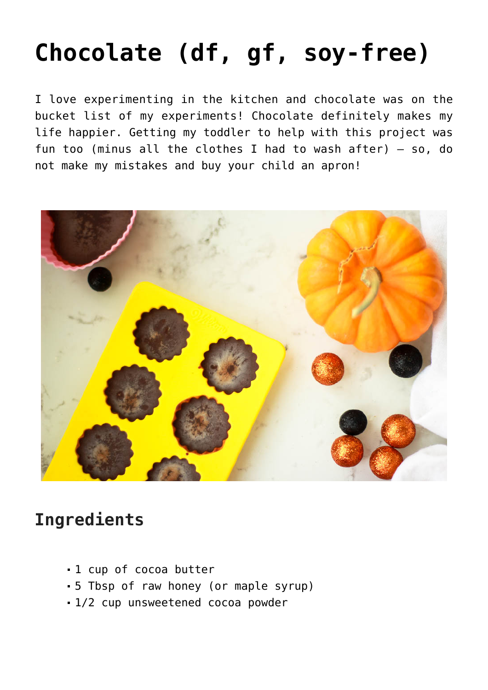## **[Chocolate \(df, gf, soy-free\)](https://sproutshealth.com/chocolate-df-gf-soy-free/)**

I love experimenting in the kitchen and chocolate was on the bucket list of my experiments! Chocolate definitely makes my life happier. Getting my toddler to help with this project was fun too (minus all the clothes I had to wash after) – so, do not make my mistakes and buy your child an apron!



## **Ingredients**

- 1 cup of cocoa butter
- 5 Tbsp of raw honey (or maple syrup)
- 1/2 cup unsweetened cocoa powder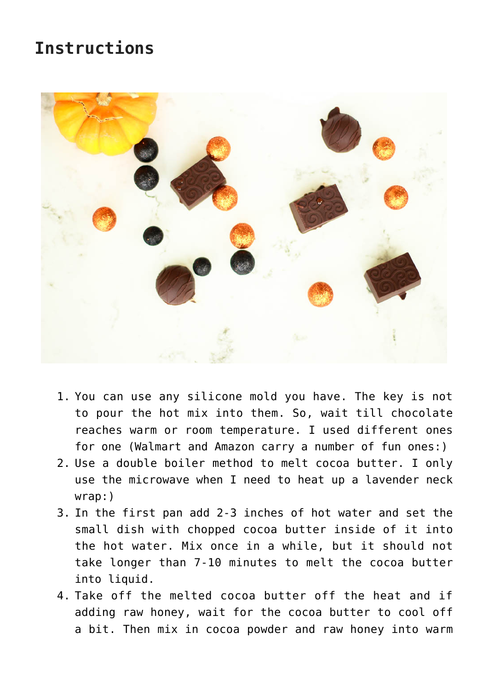## **Instructions**



- 1. You can use any silicone mold you have. The key is not to pour the hot mix into them. So, wait till chocolate reaches warm or room temperature. I used different ones for one (Walmart and Amazon carry a number of fun ones:)
- 2. Use a double boiler method to melt cocoa butter. I only use the microwave when I need to heat up a lavender neck wrap:)
- 3. In the first pan add 2-3 inches of hot water and set the small dish with chopped cocoa butter inside of it into the hot water. Mix once in a while, but it should not take longer than 7-10 minutes to melt the cocoa butter into liquid.
- 4. Take off the melted cocoa butter off the heat and if adding raw honey, wait for the cocoa butter to cool off a bit. Then mix in cocoa powder and raw honey into warm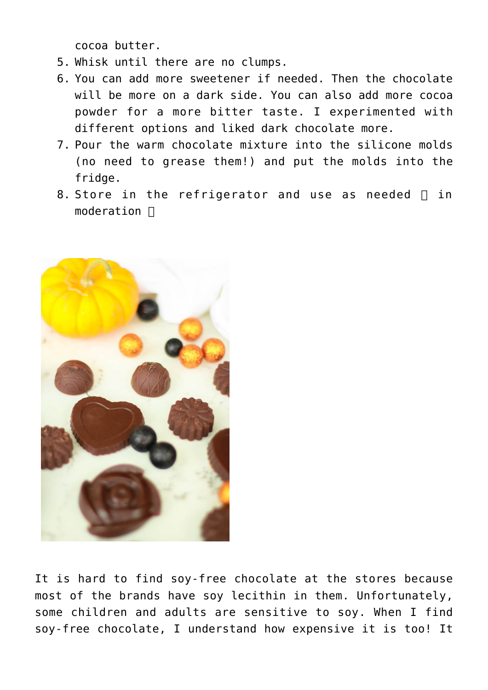cocoa butter.

- 5. Whisk until there are no clumps.
- 6. You can add more sweetener if needed. Then the chocolate will be more on a dark side. You can also add more cocoa powder for a more bitter taste. I experimented with different options and liked dark chocolate more.
- 7. Pour the warm chocolate mixture into the silicone molds (no need to grease them!) and put the molds into the fridge.
- 8. Store in the refrigerator and use as needed  $\Box$  in moderation  $\Box$



It is hard to find soy-free chocolate at the stores because most of the brands have soy lecithin in them. Unfortunately, some children and adults are sensitive to soy. When I find soy-free chocolate, I understand how expensive it is too! It